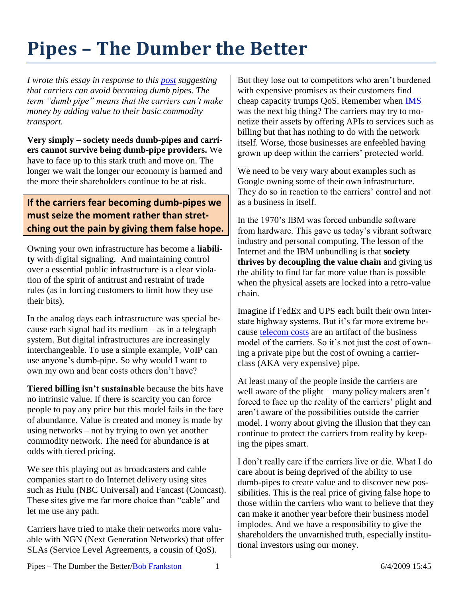## **Pipes – The Dumber the Better**

*I wrote this essay in response to this [post](http://www.listbox.com/member/archive/247/2009/06/sort/time_rev/page/1/entry/1:11/20090603051616:2D06A708-501F-11DE-AC3A-AF4454D11396/) suggesting that carriers can avoid becoming dumb pipes. The term "dumb pipe" means that the carriers can't make money by adding value to their basic commodity transport.*

**Very simply – society needs dumb-pipes and carriers cannot survive being dumb-pipe providers.** We have to face up to this stark truth and move on. The longer we wait the longer our economy is harmed and the more their shareholders continue to be at risk.

## **If the carriers fear becoming dumb-pipes we must seize the moment rather than stretching out the pain by giving them false hope.**

Owning your own infrastructure has become a **liability** with digital signaling. And maintaining control over a essential public infrastructure is a clear violation of the spirit of antitrust and restraint of trade rules (as in forcing customers to limit how they use their bits).

In the analog days each infrastructure was special because each signal had its medium – as in a telegraph system. But digital infrastructures are increasingly interchangeable. To use a simple example, VoIP can use anyone's dumb-pipe. So why would I want to own my own and bear costs others don't have?

**Tiered billing isn't sustainable** because the bits have no intrinsic value. If there is scarcity you can force people to pay any price but this model fails in the face of abundance. Value is created and money is made by using networks – not by trying to own yet another commodity network. The need for abundance is at odds with tiered pricing.

We see this playing out as broadcasters and cable companies start to do Internet delivery using sites such as Hulu (NBC Universal) and Fancast (Comcast). These sites give me far more choice than "cable" and let me use any path.

Carriers have tried to make their networks more valuable with NGN (Next Generation Networks) that offer SLAs (Service Level Agreements, a cousin of QoS).

But they lose out to competitors who aren't burdened with expensive promises as their customers find cheap capacity trumps QoS. Remember when [IMS](http://en.wikipedia.org/wiki/IP_Multimedia_Subsystem) was the next big thing? The carriers may try to monetize their assets by offering APIs to services such as billing but that has nothing to do with the network itself. Worse, those businesses are enfeebled having grown up deep within the carriers' protected world.

We need to be very wary about examples such as Google owning some of their own infrastructure. They do so in reaction to the carriers' control and not as a business in itself.

In the 1970's IBM was forced unbundle software from hardware. This gave us today's vibrant software industry and personal computing. The lesson of the Internet and the IBM unbundling is that **society thrives by decoupling the value chain** and giving us the ability to find far far more value than is possible when the physical assets are locked into a retro-value chain.

Imagine if FedEx and UPS each built their own interstate highway systems. But it's far more extreme because [telecom costs](http://frankston.com/?name=IPTelecomCosts) are an artifact of the business model of the carriers. So it's not just the cost of owning a private pipe but the cost of owning a carrierclass (AKA very expensive) pipe.

At least many of the people inside the carriers are well aware of the plight – many policy makers aren't forced to face up the reality of the carriers' plight and aren't aware of the possibilities outside the carrier model. I worry about giving the illusion that they can continue to protect the carriers from reality by keeping the pipes smart.

I don't really care if the carriers live or die. What I do care about is being deprived of the ability to use dumb-pipes to create value and to discover new possibilities. This is the real price of giving false hope to those within the carriers who want to believe that they can make it another year before their business model implodes. And we have a responsibility to give the shareholders the unvarnished truth, especially institutional investors using our money.